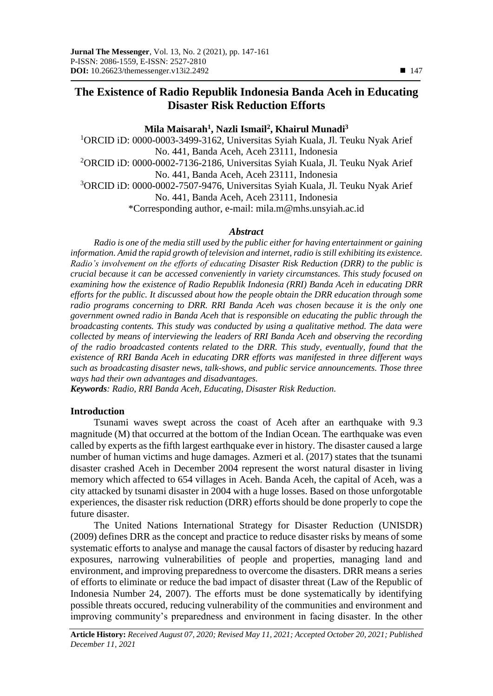# **The Existence of Radio Republik Indonesia Banda Aceh in Educating Disaster Risk Reduction Efforts**

## **Mila Maisarah<sup>1</sup> , Nazli Ismail<sup>2</sup> , Khairul Munadi<sup>3</sup>**

<sup>1</sup>ORCID iD: 0000-0003-3499-3162, Universitas Syiah Kuala, Jl. Teuku Nyak Arief No. 441, Banda Aceh, Aceh 23111, Indonesia <sup>2</sup>ORCID iD: 0000-0002-7136-2186, Universitas Syiah Kuala, Jl. Teuku Nyak Arief No. 441, Banda Aceh, Aceh 23111, Indonesia <sup>3</sup>ORCID iD: 0000-0002-7507-9476, Universitas Syiah Kuala, Jl. Teuku Nyak Arief No. 441, Banda Aceh, Aceh 23111, Indonesia \*Corresponding author, e-mail: [mila.m@mhs.unsyiah.ac.id](mailto:mila.m@mhs.unsyiah.ac.id)

#### *Abstract*

*Radio is one of the media still used by the public either for having entertainment or gaining information. Amid the rapid growth of television and internet, radio is still exhibiting its existence. Radio's involvement on the efforts of educating Disaster Risk Reduction (DRR) to the public is crucial because it can be accessed conveniently in variety circumstances. This study focused on examining how the existence of Radio Republik Indonesia (RRI) Banda Aceh in educating DRR efforts for the public. It discussed about how the people obtain the DRR education through some radio programs concerning to DRR. RRI Banda Aceh was chosen because it is the only one government owned radio in Banda Aceh that is responsible on educating the public through the broadcasting contents. This study was conducted by using a qualitative method. The data were collected by means of interviewing the leaders of RRI Banda Aceh and observing the recording of the radio broadcasted contents related to the DRR. This study, eventually, found that the existence of RRI Banda Aceh in educating DRR efforts was manifested in three different ways such as broadcasting disaster news, talk-shows, and public service announcements. Those three ways had their own advantages and disadvantages.*

*Keywords: Radio, RRI Banda Aceh, Educating, Disaster Risk Reduction.*

### **Introduction**

Tsunami waves swept across the coast of Aceh after an earthquake with 9.3 magnitude (M) that occurred at the bottom of the Indian Ocean. The earthquake was even called by experts as the fifth largest earthquake ever in history. The disaster caused a large number of human victims and huge damages. Azmeri et al. (2017) states that the tsunami disaster crashed Aceh in December 2004 represent the worst natural disaster in living memory which affected to 654 villages in Aceh. Banda Aceh, the capital of Aceh, was a city attacked by tsunami disaster in 2004 with a huge losses. Based on those unforgotable experiences, the disaster risk reduction (DRR) efforts should be done properly to cope the future disaster.

The United Nations International Strategy for Disaster Reduction (UNISDR) (2009) defines DRR as the concept and practice to reduce disaster risks by means of some systematic efforts to analyse and manage the causal factors of disaster by reducing hazard exposures, narrowing vulnerabilities of people and properties, managing land and environment, and improving preparedness to overcome the disasters. DRR means a series of efforts to eliminate or reduce the bad impact of disaster threat (Law of the Republic of Indonesia Number 24, 2007). The efforts must be done systematically by identifying possible threats occured, reducing vulnerability of the communities and environment and improving community's preparedness and environment in facing disaster. In the other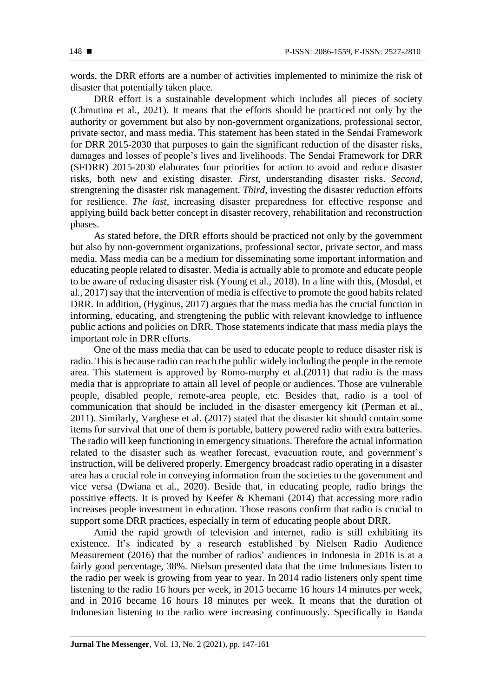words, the DRR efforts are a number of activities implemented to minimize the risk of disaster that potentially taken place.

DRR effort is a sustainable development which includes all pieces of society (Chmutina et al., 2021). It means that the efforts should be practiced not only by the authority or government but also by non-government organizations, professional sector, private sector, and mass media. This statement has been stated in the Sendai Framework for DRR 2015-2030 that purposes to gain the significant reduction of the disaster risks, damages and losses of people's lives and livelihoods. The Sendai Framework for DRR (SFDRR) 2015-2030 elaborates four priorities for action to avoid and reduce disaster risks, both new and existing disaster. *First*, understanding disaster risks. *Second*, strengtening the disaster risk management. *Third*, investing the disaster reduction efforts for resilience. *The last*, increasing disaster preparedness for effective response and applying build back better concept in disaster recovery, rehabilitation and reconstruction phases.

As stated before, the DRR efforts should be practiced not only by the government but also by non-government organizations, professional sector, private sector, and mass media. Mass media can be a medium for disseminating some important information and educating people related to disaster. Media is actually able to promote and educate people to be aware of reducing disaster risk (Young et al., 2018). In a line with this, (Mosdøl, et al., 2017) say that the intervention of media is effective to promote the good habits related DRR. In addition, (Hyginus, 2017) argues that the mass media has the crucial function in informing, educating, and strengtening the public with relevant knowledge to influence public actions and policies on DRR. Those statements indicate that mass media plays the important role in DRR efforts.

One of the mass media that can be used to educate people to reduce disaster risk is radio. This is because radio can reach the public widely including the people in the remote area. This statement is approved by Romo-murphy et al.(2011) that radio is the mass media that is appropriate to attain all level of people or audiences. Those are vulnerable people, disabled people, remote-area people, etc. Besides that, radio is a tool of communication that should be included in the disaster emergency kit (Perman et al., 2011). Similarly, Varghese et al. (2017) stated that the disaster kit should contain some items for survival that one of them is portable, battery powered radio with extra batteries. The radio will keep functioning in emergency situations. Therefore the actual information related to the disaster such as weather forecast, evacuation route, and government's instruction, will be delivered properly. Emergency broadcast radio operating in a disaster area has a crucial role in conveying information from the societies to the government and vice versa (Dwiana et al., 2020). Beside that, in educating people, radio brings the possitive effects. It is proved by Keefer & Khemani (2014) that accessing more radio increases people investment in education. Those reasons confirm that radio is crucial to support some DRR practices, especially in term of educating people about DRR.

Amid the rapid growth of television and internet, radio is still exhibiting its existence. It's indicated by a research established by Nielsen Radio Audience Measurement (2016) that the number of radios' audiences in Indonesia in 2016 is at a fairly good percentage, 38%. Nielson presented data that the time Indonesians listen to the radio per week is growing from year to year. In 2014 radio listeners only spent time listening to the radio 16 hours per week, in 2015 became 16 hours 14 minutes per week, and in 2016 became 16 hours 18 minutes per week. It means that the duration of Indonesian listening to the radio were increasing continuously. Specifically in Banda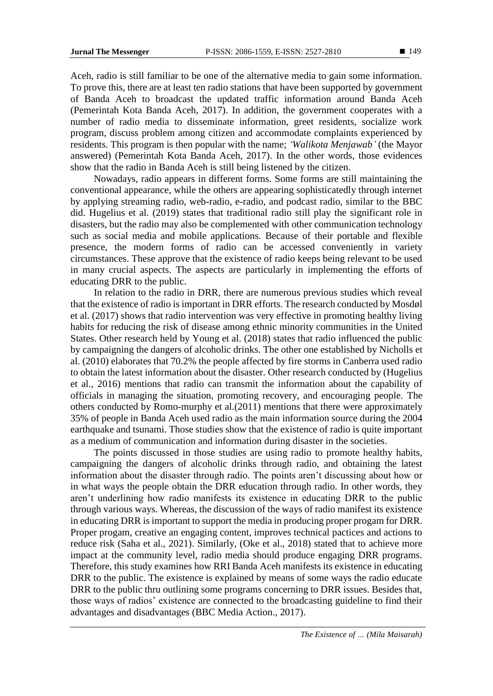Aceh, radio is still familiar to be one of the alternative media to gain some information. To prove this, there are at least ten radio stations that have been supported by government of Banda Aceh to broadcast the updated traffic information around Banda Aceh (Pemerintah Kota Banda Aceh, 2017). In addition, the government cooperates with a number of radio media to disseminate information, greet residents, socialize work program, discuss problem among citizen and accommodate complaints experienced by residents. This program is then popular with the name; *'Walikota Menjawab'* (the Mayor answered) (Pemerintah Kota Banda Aceh, 2017). In the other words, those evidences show that the radio in Banda Aceh is still being listened by the citizen.

Nowadays, radio appears in different forms. Some forms are still maintaining the conventional appearance, while the others are appearing sophisticatedly through internet by applying streaming radio, web-radio, e-radio, and podcast radio, similar to the BBC did. Hugelius et al. (2019) states that traditional radio still play the significant role in disasters, but the radio may also be complemented with other communication technology such as social media and mobile applications. Because of their portable and flexible presence, the modern forms of radio can be accessed conveniently in variety circumstances. These approve that the existence of radio keeps being relevant to be used in many crucial aspects. The aspects are particularly in implementing the efforts of educating DRR to the public.

In relation to the radio in DRR, there are numerous previous studies which reveal that the existence of radio is important in DRR efforts. The research conducted by Mosdøl et al. (2017) shows that radio intervention was very effective in promoting healthy living habits for reducing the risk of disease among ethnic minority communities in the United States. Other research held by Young et al. (2018) states that radio influenced the public by campaigning the dangers of alcoholic drinks. The other one established by Nicholls et al. (2010) elaborates that 70.2% the people affected by fire storms in Canberra used radio to obtain the latest information about the disaster. Other research conducted by (Hugelius et al., 2016) mentions that radio can transmit the information about the capability of officials in managing the situation, promoting recovery, and encouraging people. The others conducted by Romo-murphy et al.(2011) mentions that there were approximately 35% of people in Banda Aceh used radio as the main information source during the 2004 earthquake and tsunami. Those studies show that the existence of radio is quite important as a medium of communication and information during disaster in the societies.

The points discussed in those studies are using radio to promote healthy habits, campaigning the dangers of alcoholic drinks through radio, and obtaining the latest information about the disaster through radio. The points aren't discussing about how or in what ways the people obtain the DRR education through radio. In other words, they aren't underlining how radio manifests its existence in educating DRR to the public through various ways. Whereas, the discussion of the ways of radio manifest its existence in educating DRR is important to support the media in producing proper progam for DRR. Proper progam, creative an engaging content, improves technical pactices and actions to reduce risk (Saha et al., 2021). Similarly, (Oke et al., 2018) stated that to achieve more impact at the community level, radio media should produce engaging DRR programs. Therefore, this study examines how RRI Banda Aceh manifests its existence in educating DRR to the public. The existence is explained by means of some ways the radio educate DRR to the public thru outlining some programs concerning to DRR issues. Besides that, those ways of radios' existence are connected to the broadcasting guideline to find their advantages and disadvantages (BBC Media Action., 2017).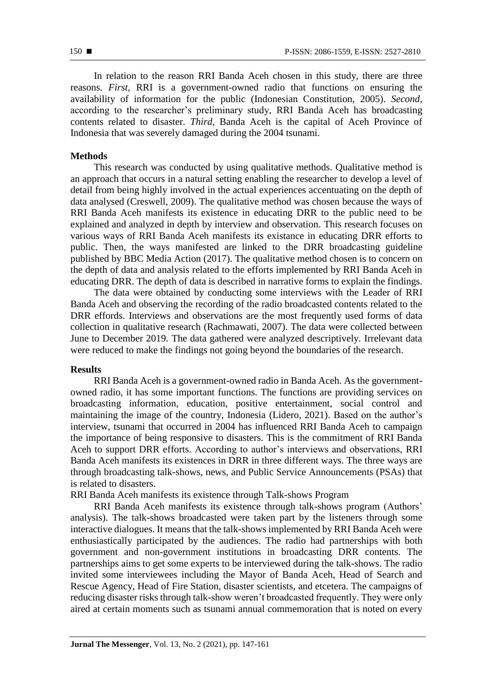In relation to the reason RRI Banda Aceh chosen in this study, there are three reasons. *First*, RRI is a government-owned radio that functions on ensuring the availability of information for the public (Indonesian Constitution, 2005). *Second*, according to the researcher's preliminary study, RRI Banda Aceh has broadcasting contents related to disaster. *Third*, Banda Aceh is the capital of Aceh Province of Indonesia that was severely damaged during the 2004 tsunami.

### **Methods**

This research was conducted by using qualitative methods. Qualitative method is an approach that occurs in a natural setting enabling the researcher to develop a level of detail from being highly involved in the actual experiences accentuating on the depth of data analysed (Creswell, 2009). The qualitative method was chosen because the ways of RRI Banda Aceh manifests its existence in educating DRR to the public need to be explained and analyzed in depth by interview and observation. This research focuses on various ways of RRI Banda Aceh manifests its existance in educating DRR efforts to public. Then, the ways manifested are linked to the DRR broadcasting guideline published by BBC Media Action (2017). The qualitative method chosen is to concern on the depth of data and analysis related to the efforts implemented by RRI Banda Aceh in educating DRR. The depth of data is described in narrative forms to explain the findings.

The data were obtained by conducting some interviews with the Leader of RRI Banda Aceh and observing the recording of the radio broadcasted contents related to the DRR effords. Interviews and observations are the most frequently used forms of data collection in qualitative research (Rachmawati, 2007). The data were collected between June to December 2019. The data gathered were analyzed descriptively. Irrelevant data were reduced to make the findings not going beyond the boundaries of the research.

### **Results**

RRI Banda Aceh is a government-owned radio in Banda Aceh. As the governmentowned radio, it has some important functions. The functions are providing services on broadcasting information, education, positive entertainment, social control and maintaining the image of the country, Indonesia (Lidero, 2021). Based on the author's interview, tsunami that occurred in 2004 has influenced RRI Banda Aceh to campaign the importance of being responsive to disasters. This is the commitment of RRI Banda Aceh to support DRR efforts. According to author's interviews and observations, RRI Banda Aceh manifests its existences in DRR in three different ways. The three ways are through broadcasting talk-shows, news, and Public Service Announcements (PSAs) that is related to disasters.

RRI Banda Aceh manifests its existence through Talk-shows Program

RRI Banda Aceh manifests its existence through talk-shows program (Authors' analysis). The talk-shows broadcasted were taken part by the listeners through some interactive dialogues. It means that the talk-shows implemented by RRI Banda Aceh were enthusiastically participated by the audiences. The radio had partnerships with both government and non-government institutions in broadcasting DRR contents. The partnerships aims to get some experts to be interviewed during the talk-shows. The radio invited some interviewees including the Mayor of Banda Aceh, Head of Search and Rescue Agency, Head of Fire Station, disaster scientists, and etcetera. The campaigns of reducing disaster risks through talk-show weren't broadcasted frequently. They were only aired at certain moments such as tsunami annual commemoration that is noted on every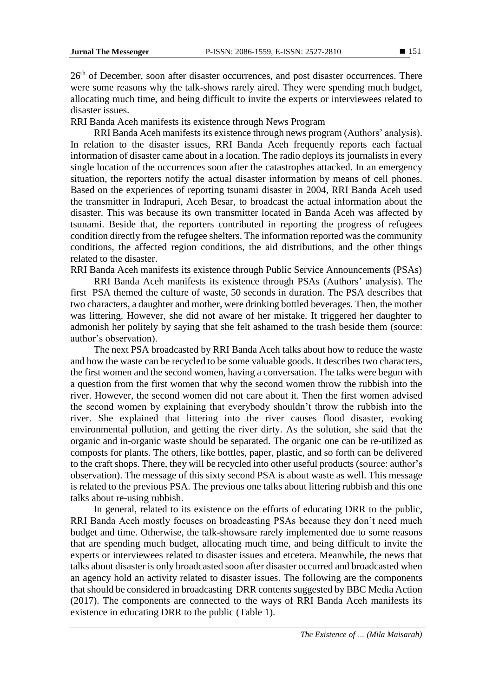26<sup>th</sup> of December, soon after disaster occurrences, and post disaster occurrences. There were some reasons why the talk-shows rarely aired. They were spending much budget, allocating much time, and being difficult to invite the experts or interviewees related to disaster issues.

RRI Banda Aceh manifests its existence through News Program

RRI Banda Aceh manifests its existence through news program (Authors' analysis). In relation to the disaster issues, RRI Banda Aceh frequently reports each factual information of disaster came about in a location. The radio deploys its journalists in every single location of the occurrences soon after the catastrophes attacked. In an emergency situation, the reporters notify the actual disaster information by means of cell phones. Based on the experiences of reporting tsunami disaster in 2004, RRI Banda Aceh used the transmitter in Indrapuri, Aceh Besar, to broadcast the actual information about the disaster. This was because its own transmitter located in Banda Aceh was affected by tsunami. Beside that, the reporters contributed in reporting the progress of refugees condition directly from the refugee shelters. The information reported was the community conditions, the affected region conditions, the aid distributions, and the other things related to the disaster.

RRI Banda Aceh manifests its existence through Public Service Announcements (PSAs)

RRI Banda Aceh manifests its existence through PSAs (Authors' analysis). The first PSA themed the culture of waste, 50 seconds in duration. The PSA describes that two characters, a daughter and mother, were drinking bottled beverages. Then, the mother was littering. However, she did not aware of her mistake. It triggered her daughter to admonish her politely by saying that she felt ashamed to the trash beside them (source: author's observation).

The next PSA broadcasted by RRI Banda Aceh talks about how to reduce the waste and how the waste can be recycled to be some valuable goods. It describes two characters, the first women and the second women, having a conversation. The talks were begun with a question from the first women that why the second women throw the rubbish into the river. However, the second women did not care about it. Then the first women advised the second women by explaining that everybody shouldn't throw the rubbish into the river. She explained that littering into the river causes flood disaster, evoking environmental pollution, and getting the river dirty. As the solution, she said that the organic and in-organic waste should be separated. The organic one can be re-utilized as composts for plants. The others, like bottles, paper, plastic, and so forth can be delivered to the craft shops. There, they will be recycled into other useful products (source: author's observation). The message of this sixty second PSA is about waste as well. This message is related to the previous PSA. The previous one talks about littering rubbish and this one talks about re-using rubbish.

In general, related to its existence on the efforts of educating DRR to the public, RRI Banda Aceh mostly focuses on broadcasting PSAs because they don't need much budget and time. Otherwise, the talk-showsare rarely implemented due to some reasons that are spending much budget, allocating much time, and being difficult to invite the experts or interviewees related to disaster issues and etcetera. Meanwhile, the news that talks about disaster is only broadcasted soon after disaster occurred and broadcasted when an agency hold an activity related to disaster issues. The following are the components that should be considered in broadcasting DRR contents suggested by BBC Media Action (2017). The components are connected to the ways of RRI Banda Aceh manifests its existence in educating DRR to the public (Table 1).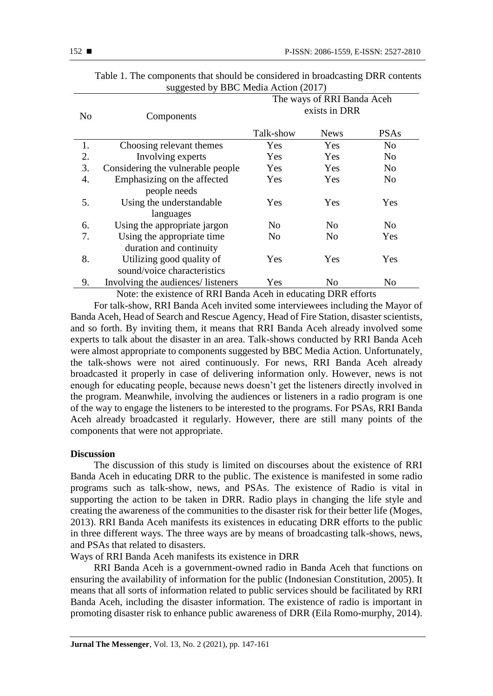| N <sub>0</sub> | Components                         | The ways of RRI Banda Aceh<br>exists in DRR |                |                |
|----------------|------------------------------------|---------------------------------------------|----------------|----------------|
|                |                                    | Talk-show                                   | <b>News</b>    | <b>PSAs</b>    |
| 1.             | Choosing relevant themes           | Yes                                         | Yes            | N <sub>o</sub> |
| 2.             | Involving experts                  | Yes                                         | Yes            | N <sub>o</sub> |
| 3.             | Considering the vulnerable people  | Yes                                         | Yes            | N <sub>0</sub> |
| 4.             | Emphasizing on the affected        | Yes                                         | Yes            | N <sub>o</sub> |
|                | people needs                       |                                             |                |                |
| 5.             | Using the understandable           | Yes                                         | Yes            | Yes            |
|                | languages                          |                                             |                |                |
| 6.             | Using the appropriate jargon       | No                                          | No             | N <sub>o</sub> |
| 7.             | Using the appropriate time         | N <sub>0</sub>                              | N <sub>0</sub> | Yes            |
|                | duration and continuity            |                                             |                |                |
| 8.             | Utilizing good quality of          | Yes                                         | Yes            | Yes            |
|                | sound/voice characteristics        |                                             |                |                |
| 9.             | Involving the audiences/ listeners | Yes                                         | N <sub>o</sub> | N <sub>o</sub> |

| Table 1. The components that should be considered in broadcasting DRR contents |  |
|--------------------------------------------------------------------------------|--|
| suggested by BBC Media Action (2017)                                           |  |

Note: the existence of RRI Banda Aceh in educating DRR efforts

For talk-show, RRI Banda Aceh invited some interviewees including the Mayor of Banda Aceh, Head of Search and Rescue Agency, Head of Fire Station, disaster scientists, and so forth. By inviting them, it means that RRI Banda Aceh already involved some experts to talk about the disaster in an area. Talk-shows conducted by RRI Banda Aceh were almost appropriate to components suggested by BBC Media Action. Unfortunately, the talk-shows were not aired continuously. For news, RRI Banda Aceh already broadcasted it properly in case of delivering information only. However, news is not enough for educating people, because news doesn't get the listeners directly involved in the program. Meanwhile, involving the audiences or listeners in a radio program is one of the way to engage the listeners to be interested to the programs. For PSAs, RRI Banda Aceh already broadcasted it regularly. However, there are still many points of the components that were not appropriate.

### **Discussion**

The discussion of this study is limited on discourses about the existence of RRI Banda Aceh in educating DRR to the public. The existence is manifested in some radio programs such as talk-show, news, and PSAs. The existence of Radio is vital in supporting the action to be taken in DRR. Radio plays in changing the life style and creating the awareness of the communities to the disaster risk for their better life (Moges, 2013). RRI Banda Aceh manifests its existences in educating DRR efforts to the public in three different ways. The three ways are by means of broadcasting talk-shows, news, and PSAs that related to disasters.

Ways of RRI Banda Aceh manifests its existence in DRR

RRI Banda Aceh is a government-owned radio in Banda Aceh that functions on ensuring the availability of information for the public (Indonesian Constitution, 2005). It means that all sorts of information related to public services should be facilitated by RRI Banda Aceh, including the disaster information. The existence of radio is important in promoting disaster risk to enhance public awareness of DRR (Eila Romo-murphy, 2014).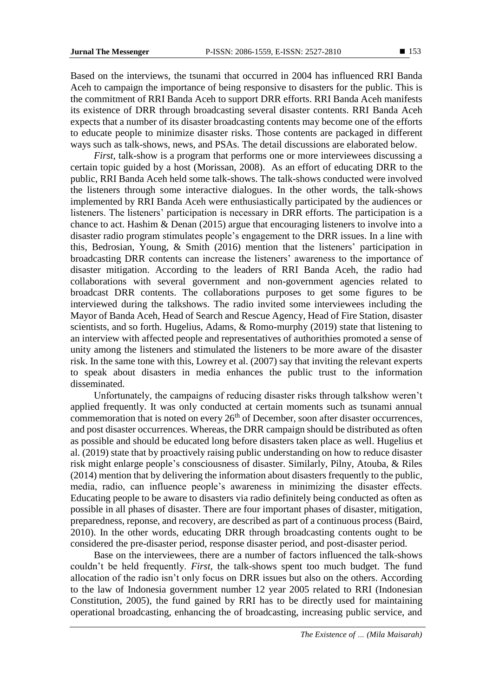Based on the interviews, the tsunami that occurred in 2004 has influenced RRI Banda Aceh to campaign the importance of being responsive to disasters for the public. This is the commitment of RRI Banda Aceh to support DRR efforts. RRI Banda Aceh manifests its existence of DRR through broadcasting several disaster contents. RRI Banda Aceh expects that a number of its disaster broadcasting contents may become one of the efforts to educate people to minimize disaster risks. Those contents are packaged in different ways such as talk-shows, news, and PSAs. The detail discussions are elaborated below.

*First*, talk-show is a program that performs one or more interviewees discussing a certain topic guided by a host (Morissan, 2008). As an effort of educating DRR to the public, RRI Banda Aceh held some talk-shows. The talk-shows conducted were involved the listeners through some interactive dialogues. In the other words, the talk-shows implemented by RRI Banda Aceh were enthusiastically participated by the audiences or listeners. The listeners' participation is necessary in DRR efforts. The participation is a chance to act. Hashim & Denan (2015) argue that encouraging listeners to involve into a disaster radio program stimulates people's engagement to the DRR issues. In a line with this, Bedrosian, Young, & Smith (2016) mention that the listeners' participation in broadcasting DRR contents can increase the listeners' awareness to the importance of disaster mitigation. According to the leaders of RRI Banda Aceh, the radio had collaborations with several government and non-government agencies related to broadcast DRR contents. The collaborations purposes to get some figures to be interviewed during the talkshows. The radio invited some interviewees including the Mayor of Banda Aceh, Head of Search and Rescue Agency, Head of Fire Station, disaster scientists, and so forth. Hugelius, Adams, & Romo-murphy (2019) state that listening to an interview with affected people and representatives of authorithies promoted a sense of unity among the listeners and stimulated the listeners to be more aware of the disaster risk. In the same tone with this, Lowrey et al. (2007) say that inviting the relevant experts to speak about disasters in media enhances the public trust to the information disseminated.

Unfortunately, the campaigns of reducing disaster risks through talkshow weren't applied frequently. It was only conducted at certain moments such as tsunami annual commemoration that is noted on every  $26<sup>th</sup>$  of December, soon after disaster occurrences, and post disaster occurrences. Whereas, the DRR campaign should be distributed as often as possible and should be educated long before disasters taken place as well. Hugelius et al. (2019) state that by proactively raising public understanding on how to reduce disaster risk might enlarge people's consciousness of disaster. Similarly, Pilny, Atouba, & Riles (2014) mention that by delivering the information about disasters frequently to the public, media, radio, can influence people's awareness in minimizing the disaster effects. Educating people to be aware to disasters via radio definitely being conducted as often as possible in all phases of disaster. There are four important phases of disaster, mitigation, preparedness, reponse, and recovery, are described as part of a continuous process (Baird, 2010). In the other words, educating DRR through broadcasting contents ought to be considered the pre-disaster period, response disaster period, and post-disaster period.

Base on the interviewees, there are a number of factors influenced the talk-shows couldn't be held frequently. *First*, the talk-shows spent too much budget. The fund allocation of the radio isn't only focus on DRR issues but also on the others. According to the law of Indonesia government number 12 year 2005 related to RRI (Indonesian Constitution, 2005), the fund gained by RRI has to be directly used for maintaining operational broadcasting, enhancing the of broadcasting, increasing public service, and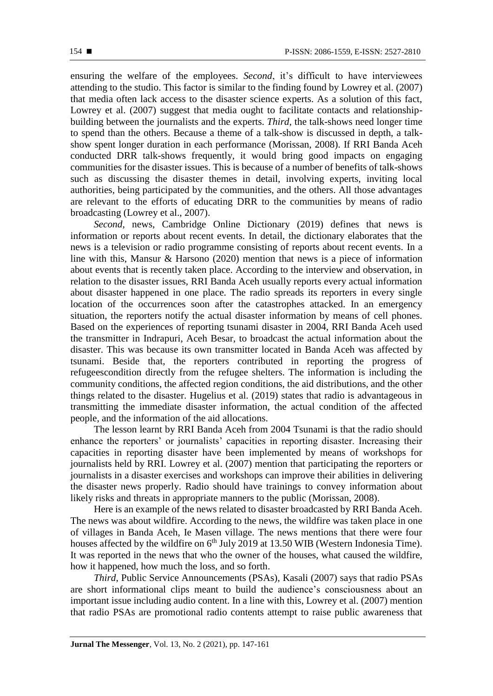ensuring the welfare of the employees. *Second*, it's difficult to have interviewees attending to the studio. This factor is similar to the finding found by Lowrey et al. (2007) that media often lack access to the disaster science experts. As a solution of this fact, Lowrey et al. (2007) suggest that media ought to facilitate contacts and relationshipbuilding between the journalists and the experts. *Third*, the talk-shows need longer time to spend than the others. Because a theme of a talk-show is discussed in depth, a talkshow spent longer duration in each performance (Morissan, 2008). If RRI Banda Aceh conducted DRR talk-shows frequently, it would bring good impacts on engaging communities for the disaster issues. This is because of a number of benefits of talk-shows such as discussing the disaster themes in detail, involving experts, inviting local authorities, being participated by the communities, and the others. All those advantages are relevant to the efforts of educating DRR to the communities by means of radio broadcasting (Lowrey et al., 2007).

*Second*, news, Cambridge Online Dictionary (2019) defines that news is information or reports about recent events. In detail, the dictionary elaborates that the news is a television or radio programme consisting of reports about recent events. In a line with this, Mansur & Harsono (2020) mention that news is a piece of information about events that is recently taken place. According to the interview and observation, in relation to the disaster issues, RRI Banda Aceh usually reports every actual information about disaster happened in one place. The radio spreads its reporters in every single location of the occurrences soon after the catastrophes attacked. In an emergency situation, the reporters notify the actual disaster information by means of cell phones. Based on the experiences of reporting tsunami disaster in 2004, RRI Banda Aceh used the transmitter in Indrapuri, Aceh Besar, to broadcast the actual information about the disaster. This was because its own transmitter located in Banda Aceh was affected by tsunami. Beside that, the reporters contributed in reporting the progress of refugeescondition directly from the refugee shelters. The information is including the community conditions, the affected region conditions, the aid distributions, and the other things related to the disaster. Hugelius et al. (2019) states that radio is advantageous in transmitting the immediate disaster information, the actual condition of the affected people, and the information of the aid allocations.

The lesson learnt by RRI Banda Aceh from 2004 Tsunami is that the radio should enhance the reporters' or journalists' capacities in reporting disaster. Increasing their capacities in reporting disaster have been implemented by means of workshops for journalists held by RRI. Lowrey et al. (2007) mention that participating the reporters or journalists in a disaster exercises and workshops can improve their abilities in delivering the disaster news properly. Radio should have trainings to convey information about likely risks and threats in appropriate manners to the public (Morissan, 2008).

Here is an example of the news related to disaster broadcasted by RRI Banda Aceh. The news was about wildfire. According to the news, the wildfire was taken place in one of villages in Banda Aceh, Ie Masen village. The news mentions that there were four houses affected by the wildfire on 6<sup>th</sup> July 2019 at 13.50 WIB (Western Indonesia Time). It was reported in the news that who the owner of the houses, what caused the wildfire, how it happened, how much the loss, and so forth.

*Third*, Public Service Announcements (PSAs), Kasali (2007) says that radio PSAs are short informational clips meant to build the audience's consciousness about an important issue including audio content. In a line with this, Lowrey et al. (2007) mention that radio PSAs are promotional radio contents attempt to raise public awareness that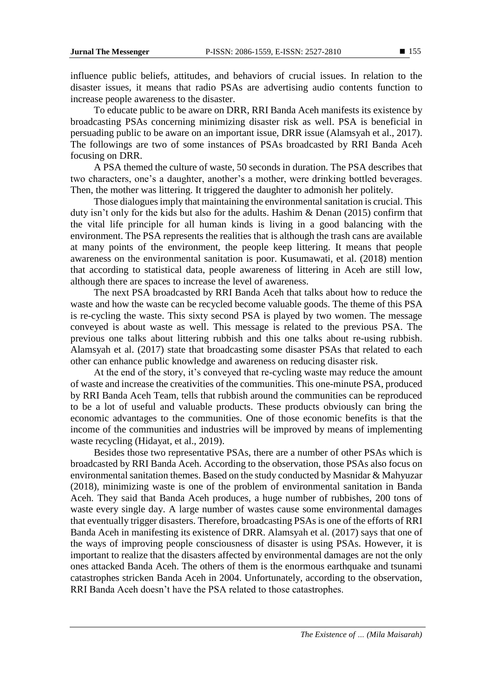influence public beliefs, attitudes, and behaviors of crucial issues. In relation to the disaster issues, it means that radio PSAs are advertising audio contents function to increase people awareness to the disaster.

To educate public to be aware on DRR, RRI Banda Aceh manifests its existence by broadcasting PSAs concerning minimizing disaster risk as well. PSA is beneficial in persuading public to be aware on an important issue, DRR issue (Alamsyah et al., 2017). The followings are two of some instances of PSAs broadcasted by RRI Banda Aceh focusing on DRR.

A PSA themed the culture of waste, 50 seconds in duration. The PSA describes that two characters, one's a daughter, another's a mother, were drinking bottled beverages. Then, the mother was littering. It triggered the daughter to admonish her politely.

Those dialogues imply that maintaining the environmental sanitation is crucial. This duty isn't only for the kids but also for the adults. Hashim & Denan (2015) confirm that the vital life principle for all human kinds is living in a good balancing with the environment. The PSA represents the realities that is although the trash cans are available at many points of the environment, the people keep littering. It means that people awareness on the environmental sanitation is poor. Kusumawati, et al. (2018) mention that according to statistical data, people awareness of littering in Aceh are still low, although there are spaces to increase the level of awareness.

The next PSA broadcasted by RRI Banda Aceh that talks about how to reduce the waste and how the waste can be recycled become valuable goods. The theme of this PSA is re-cycling the waste. This sixty second PSA is played by two women. The message conveyed is about waste as well. This message is related to the previous PSA. The previous one talks about littering rubbish and this one talks about re-using rubbish. Alamsyah et al. (2017) state that broadcasting some disaster PSAs that related to each other can enhance public knowledge and awareness on reducing disaster risk.

At the end of the story, it's conveyed that re-cycling waste may reduce the amount of waste and increase the creativities of the communities. This one-minute PSA, produced by RRI Banda Aceh Team, tells that rubbish around the communities can be reproduced to be a lot of useful and valuable products. These products obviously can bring the economic advantages to the communities. One of those economic benefits is that the income of the communities and industries will be improved by means of implementing waste recycling (Hidayat, et al., 2019).

Besides those two representative PSAs, there are a number of other PSAs which is broadcasted by RRI Banda Aceh. According to the observation, those PSAs also focus on environmental sanitation themes. Based on the study conducted by Masnidar & Mahyuzar (2018), minimizing waste is one of the problem of environmental sanitation in Banda Aceh. They said that Banda Aceh produces, a huge number of rubbishes, 200 tons of waste every single day. A large number of wastes cause some environmental damages that eventually trigger disasters. Therefore, broadcasting PSAs is one of the efforts of RRI Banda Aceh in manifesting its existence of DRR. Alamsyah et al. (2017) says that one of the ways of improving people consciousness of disaster is using PSAs. However, it is important to realize that the disasters affected by environmental damages are not the only ones attacked Banda Aceh. The others of them is the enormous earthquake and tsunami catastrophes stricken Banda Aceh in 2004. Unfortunately, according to the observation, RRI Banda Aceh doesn't have the PSA related to those catastrophes.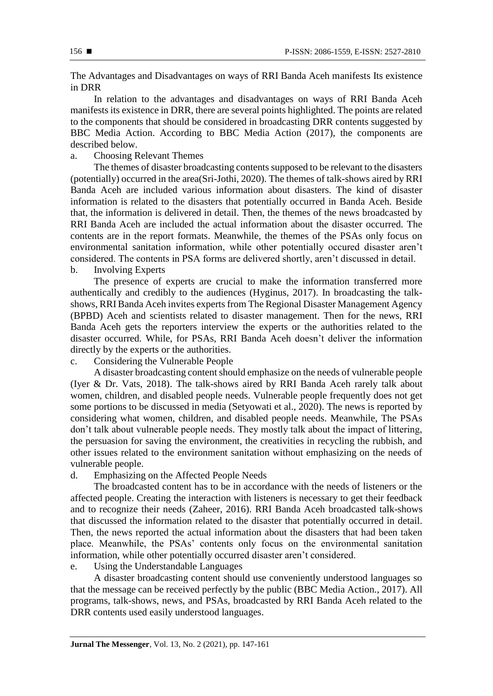The Advantages and Disadvantages on ways of RRI Banda Aceh manifests Its existence in DRR

In relation to the advantages and disadvantages on ways of RRI Banda Aceh manifests its existence in DRR, there are several points highlighted. The points are related to the components that should be considered in broadcasting DRR contents suggested by BBC Media Action. According to BBC Media Action (2017), the components are described below.

## a. Choosing Relevant Themes

The themes of disaster broadcasting contents supposed to be relevant to the disasters (potentially) occurred in the area(Sri-Jothi, 2020). The themes of talk-shows aired by RRI Banda Aceh are included various information about disasters. The kind of disaster information is related to the disasters that potentially occurred in Banda Aceh. Beside that, the information is delivered in detail. Then, the themes of the news broadcasted by RRI Banda Aceh are included the actual information about the disaster occurred. The contents are in the report formats. Meanwhile, the themes of the PSAs only focus on environmental sanitation information, while other potentially occured disaster aren't considered. The contents in PSA forms are delivered shortly, aren't discussed in detail.

b. Involving Experts

The presence of experts are crucial to make the information transferred more authentically and credibly to the audiences (Hyginus, 2017). In broadcasting the talkshows, RRI Banda Aceh invites experts from The Regional Disaster Management Agency (BPBD) Aceh and scientists related to disaster management. Then for the news, RRI Banda Aceh gets the reporters interview the experts or the authorities related to the disaster occurred. While, for PSAs, RRI Banda Aceh doesn't deliver the information directly by the experts or the authorities.

c. Considering the Vulnerable People

A disaster broadcasting content should emphasize on the needs of vulnerable people (Iyer & Dr. Vats, 2018). The talk-shows aired by RRI Banda Aceh rarely talk about women, children, and disabled people needs. Vulnerable people frequently does not get some portions to be discussed in media (Setyowati et al., 2020). The news is reported by considering what women, children, and disabled people needs. Meanwhile, The PSAs don't talk about vulnerable people needs. They mostly talk about the impact of littering, the persuasion for saving the environment, the creativities in recycling the rubbish, and other issues related to the environment sanitation without emphasizing on the needs of vulnerable people.

## d. Emphasizing on the Affected People Needs

The broadcasted content has to be in accordance with the needs of listeners or the affected people. Creating the interaction with listeners is necessary to get their feedback and to recognize their needs (Zaheer, 2016). RRI Banda Aceh broadcasted talk-shows that discussed the information related to the disaster that potentially occurred in detail. Then, the news reported the actual information about the disasters that had been taken place. Meanwhile, the PSAs' contents only focus on the environmental sanitation information, while other potentially occurred disaster aren't considered.

## e. Using the Understandable Languages

A disaster broadcasting content should use conveniently understood languages so that the message can be received perfectly by the public (BBC Media Action., 2017). All programs, talk-shows, news, and PSAs, broadcasted by RRI Banda Aceh related to the DRR contents used easily understood languages.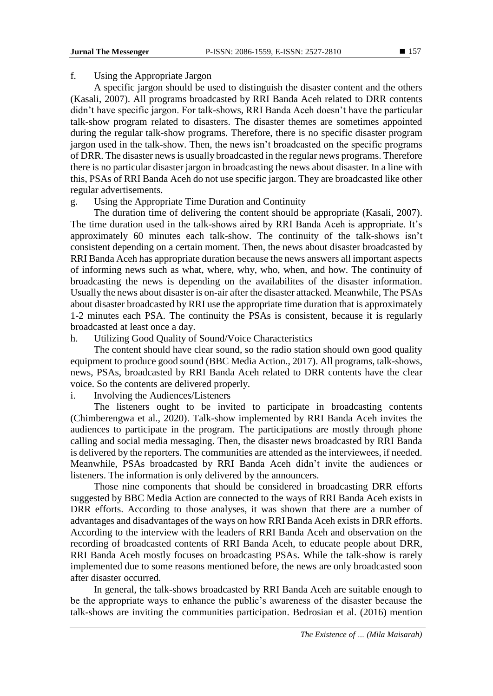### f. Using the Appropriate Jargon

A specific jargon should be used to distinguish the disaster content and the others (Kasali, 2007). All programs broadcasted by RRI Banda Aceh related to DRR contents didn't have specific jargon. For talk-shows, RRI Banda Aceh doesn't have the particular talk-show program related to disasters. The disaster themes are sometimes appointed during the regular talk-show programs. Therefore, there is no specific disaster program jargon used in the talk-show. Then, the news isn't broadcasted on the specific programs of DRR. The disaster news is usually broadcasted in the regular news programs. Therefore there is no particular disaster jargon in broadcasting the news about disaster. In a line with this, PSAs of RRI Banda Aceh do not use specific jargon. They are broadcasted like other regular advertisements.

### g. Using the Appropriate Time Duration and Continuity

The duration time of delivering the content should be appropriate (Kasali, 2007). The time duration used in the talk-shows aired by RRI Banda Aceh is appropriate. It's approximately 60 minutes each talk-show. The continuity of the talk-shows isn't consistent depending on a certain moment. Then, the news about disaster broadcasted by RRI Banda Aceh has appropriate duration because the news answers all important aspects of informing news such as what, where, why, who, when, and how. The continuity of broadcasting the news is depending on the availabilites of the disaster information. Usually the news about disaster is on-air after the disaster attacked. Meanwhile, The PSAs about disaster broadcasted by RRI use the appropriate time duration that is approximately 1-2 minutes each PSA. The continuity the PSAs is consistent, because it is regularly broadcasted at least once a day.

### h. Utilizing Good Quality of Sound/Voice Characteristics

The content should have clear sound, so the radio station should own good quality equipment to produce good sound (BBC Media Action., 2017). All programs, talk-shows, news, PSAs, broadcasted by RRI Banda Aceh related to DRR contents have the clear voice. So the contents are delivered properly.

### i. Involving the Audiences/Listeners

The listeners ought to be invited to participate in broadcasting contents (Chimberengwa et al., 2020). Talk-show implemented by RRI Banda Aceh invites the audiences to participate in the program. The participations are mostly through phone calling and social media messaging. Then, the disaster news broadcasted by RRI Banda is delivered by the reporters. The communities are attended as the interviewees, if needed. Meanwhile, PSAs broadcasted by RRI Banda Aceh didn't invite the audiences or listeners. The information is only delivered by the announcers.

Those nine components that should be considered in broadcasting DRR efforts suggested by BBC Media Action are connected to the ways of RRI Banda Aceh exists in DRR efforts. According to those analyses, it was shown that there are a number of advantages and disadvantages of the ways on how RRI Banda Aceh exists in DRR efforts. According to the interview with the leaders of RRI Banda Aceh and observation on the recording of broadcasted contents of RRI Banda Aceh, to educate people about DRR, RRI Banda Aceh mostly focuses on broadcasting PSAs. While the talk-show is rarely implemented due to some reasons mentioned before, the news are only broadcasted soon after disaster occurred.

In general, the talk-shows broadcasted by RRI Banda Aceh are suitable enough to be the appropriate ways to enhance the public's awareness of the disaster because the talk-shows are inviting the communities participation. Bedrosian et al. (2016) mention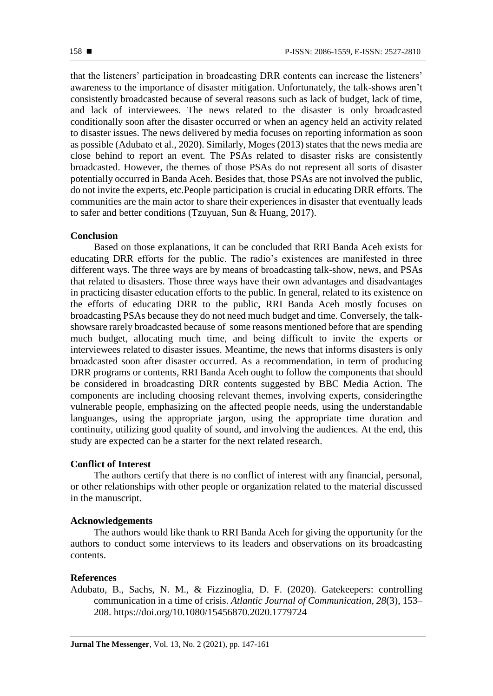that the listeners' participation in broadcasting DRR contents can increase the listeners' awareness to the importance of disaster mitigation. Unfortunately, the talk-shows aren't consistently broadcasted because of several reasons such as lack of budget, lack of time, and lack of interviewees. The news related to the disaster is only broadcasted conditionally soon after the disaster occurred or when an agency held an activity related to disaster issues. The news delivered by media focuses on reporting information as soon as possible (Adubato et al., 2020). Similarly, Moges (2013) states that the news media are close behind to report an event. The PSAs related to disaster risks are consistently broadcasted. However, the themes of those PSAs do not represent all sorts of disaster potentially occurred in Banda Aceh. Besides that, those PSAs are not involved the public, do not invite the experts, etc.People participation is crucial in educating DRR efforts. The communities are the main actor to share their experiences in disaster that eventually leads to safer and better conditions (Tzuyuan, Sun & Huang, 2017).

#### **Conclusion**

Based on those explanations, it can be concluded that RRI Banda Aceh exists for educating DRR efforts for the public. The radio's existences are manifested in three different ways. The three ways are by means of broadcasting talk-show, news, and PSAs that related to disasters. Those three ways have their own advantages and disadvantages in practicing disaster education efforts to the public. In general, related to its existence on the efforts of educating DRR to the public, RRI Banda Aceh mostly focuses on broadcasting PSAs because they do not need much budget and time. Conversely, the talkshowsare rarely broadcasted because of some reasons mentioned before that are spending much budget, allocating much time, and being difficult to invite the experts or interviewees related to disaster issues. Meantime, the news that informs disasters is only broadcasted soon after disaster occurred. As a recommendation, in term of producing DRR programs or contents, RRI Banda Aceh ought to follow the components that should be considered in broadcasting DRR contents suggested by BBC Media Action. The components are including choosing relevant themes, involving experts, consideringthe vulnerable people, emphasizing on the affected people needs, using the understandable languanges, using the appropriate jargon, using the appropriate time duration and continuity, utilizing good quality of sound, and involving the audiences. At the end, this study are expected can be a starter for the next related research.

### **Conflict of Interest**

The authors certify that there is no conflict of interest with any financial, personal, or other relationships with other people or organization related to the material discussed in the manuscript.

#### **Acknowledgements**

The authors would like thank to RRI Banda Aceh for giving the opportunity for the authors to conduct some interviews to its leaders and observations on its broadcasting contents.

#### **References**

Adubato, B., Sachs, N. M., & Fizzinoglia, D. F. (2020). Gatekeepers: controlling communication in a time of crisis. *Atlantic Journal of Communication*, *28*(3), 153– 208. https://doi.org/10.1080/15456870.2020.1779724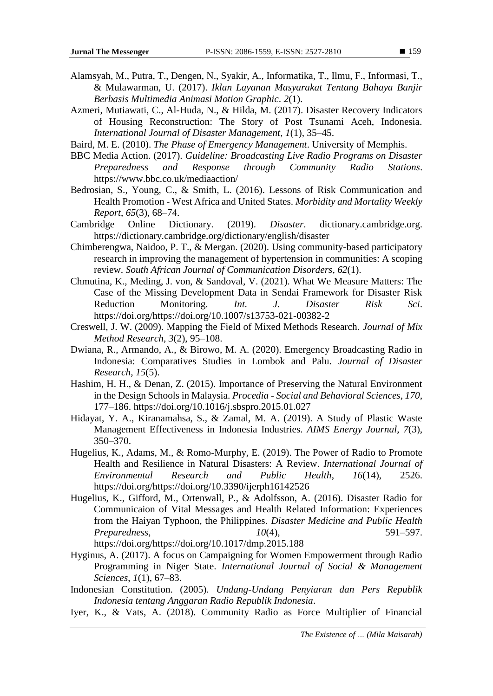- Alamsyah, M., Putra, T., Dengen, N., Syakir, A., Informatika, T., Ilmu, F., Informasi, T., & Mulawarman, U. (2017). *Iklan Layanan Masyarakat Tentang Bahaya Banjir Berbasis Multimedia Animasi Motion Graphic*. *2*(1).
- Azmeri, Mutiawati, C., Al-Huda, N., & Hilda, M. (2017). Disaster Recovery Indicators of Housing Reconstruction: The Story of Post Tsunami Aceh, Indonesia. *International Journal of Disaster Management*, *1*(1), 35–45.
- Baird, M. E. (2010). *The Phase of Emergency Management*. University of Memphis.
- BBC Media Action. (2017). *Guideline: Broadcasting Live Radio Programs on Disaster Preparedness and Response through Community Radio Stations*. https://www.bbc.co.uk/mediaaction/
- Bedrosian, S., Young, C., & Smith, L. (2016). Lessons of Risk Communication and Health Promotion - West Africa and United States. *Morbidity and Mortality Weekly Report*, *65*(3), 68–74.
- Cambridge Online Dictionary. (2019). *Disaster*. dictionary.cambridge.org. https://dictionary.cambridge.org/dictionary/english/disaster
- Chimberengwa, Naidoo, P. T., & Mergan. (2020). Using community-based participatory research in improving the management of hypertension in communities: A scoping review. *South African Journal of Communication Disorders*, *62*(1).
- Chmutina, K., Meding, J. von, & Sandoval, V. (2021). What We Measure Matters: The Case of the Missing Development Data in Sendai Framework for Disaster Risk Reduction Monitoring. *Int. J. Disaster Risk Sci*. https://doi.org/https://doi.org/10.1007/s13753-021-00382-2
- Creswell, J. W. (2009). Mapping the Field of Mixed Methods Research. *Journal of Mix Method Research*, *3*(2), 95–108.
- Dwiana, R., Armando, A., & Birowo, M. A. (2020). Emergency Broadcasting Radio in Indonesia: Comparatives Studies in Lombok and Palu. *Journal of Disaster Research*, *15*(5).
- Hashim, H. H., & Denan, Z. (2015). Importance of Preserving the Natural Environment in the Design Schools in Malaysia. *Procedia - Social and Behavioral Sciences*, *170*, 177–186. https://doi.org/10.1016/j.sbspro.2015.01.027
- Hidayat, Y. A., Kiranamahsa, S., & Zamal, M. A. (2019). A Study of Plastic Waste Management Effectiveness in Indonesia Industries. *AIMS Energy Journal*, *7*(3), 350–370.
- Hugelius, K., Adams, M., & Romo-Murphy, E. (2019). The Power of Radio to Promote Health and Resilience in Natural Disasters: A Review. *International Journal of Environmental Research and Public Health*, *16*(14), 2526. https://doi.org/https://doi.org/10.3390/ijerph16142526
- Hugelius, K., Gifford, M., Ortenwall, P., & Adolfsson, A. (2016). Disaster Radio for Communicaion of Vital Messages and Health Related Information: Experiences from the Haiyan Typhoon, the Philippines. *Disaster Medicine and Public Health Preparedness*, *10*(4), 591–597. https://doi.org/https://doi.org/10.1017/dmp.2015.188
- Hyginus, A. (2017). A focus on Campaigning for Women Empowerment through Radio Programming in Niger State. *International Journal of Social & Management Sciences*, *1*(1), 67–83.
- Indonesian Constitution. (2005). *Undang-Undang Penyiaran dan Pers Republik Indonesia tentang Anggaran Radio Republik Indonesia*.
- Iyer, K., & Vats, A. (2018). Community Radio as Force Multiplier of Financial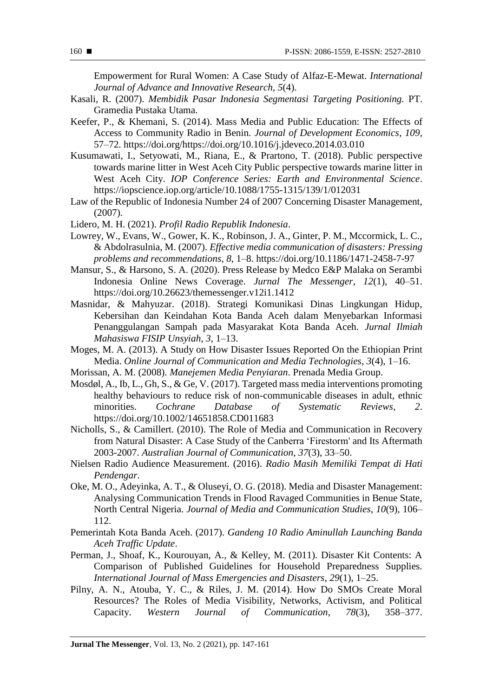Empowerment for Rural Women: A Case Study of Alfaz-E-Mewat. *International Journal of Advance and Innovative Research, 5*(4).

- Kasali, R. (2007). *Membidik Pasar Indonesia Segmentasi Targeting Positioning.* PT. Gramedia Pustaka Utama.
- Keefer, P., & Khemani, S. (2014). Mass Media and Public Education: The Effects of Access to Community Radio in Benin. *Journal of Development Economics*, *109*, 57–72. https://doi.org/https://doi.org/10.1016/j.jdeveco.2014.03.010
- Kusumawati, I., Setyowati, M., Riana, E., & Prartono, T. (2018). Public perspective towards marine litter in West Aceh City Public perspective towards marine litter in West Aceh City. *IOP Conference Series: Earth and Environmental Science*. https://iopscience.iop.org/article/10.1088/1755-1315/139/1/012031
- Law of the Republic of Indonesia Number 24 of 2007 Concerning Disaster Management, (2007).
- Lidero, M. H. (2021). *Profil Radio Republik Indonesia*.
- Lowrey, W., Evans, W., Gower, K. K., Robinson, J. A., Ginter, P. M., Mccormick, L. C., & Abdolrasulnia, M. (2007). *Effective media communication of disasters: Pressing problems and recommendations*, *8*, 1–8. https://doi.org/10.1186/1471-2458-7-97
- Mansur, S., & Harsono, S. A. (2020). Press Release by Medco E&P Malaka on Serambi Indonesia Online News Coverage. *Jurnal The Messenger*, *12*(1), 40–51. https://doi.org/10.26623/themessenger.v12i1.1412
- Masnidar, & Mahyuzar. (2018). Strategi Komunikasi Dinas Lingkungan Hidup, Kebersihan dan Keindahan Kota Banda Aceh dalam Menyebarkan Informasi Penanggulangan Sampah pada Masyarakat Kota Banda Aceh. *Jurnal Ilmiah Mahasiswa FISIP Unsyiah*, *3*, 1–13.
- Moges, M. A. (2013). A Study on How Disaster Issues Reported On the Ethiopian Print Media. *Online Journal of Communication and Media Technologies*, *3*(4), 1–16.
- Morissan, A. M. (2008). *Manejemen Media Penyiaran*. Prenada Media Group.
- Mosdøl, A., Ib, L., Gh, S., & Ge, V. (2017). Targeted mass media interventions promoting healthy behaviours to reduce risk of non-communicable diseases in adult, ethnic minorities. *Cochrane Database of Systematic Reviews, 2*. https://doi.org/10.1002/14651858.CD011683
- Nicholls, S., & Camillert. (2010). The Role of Media and Communication in Recovery from Natural Disaster: A Case Study of the Canberra 'Firestorm' and Its Aftermath 2003-2007. *Australian Journal of Communication*, *37*(3), 33–50.
- Nielsen Radio Audience Measurement. (2016). *Radio Masih Memiliki Tempat di Hati Pendengar*.
- Oke, M. O., Adeyinka, A. T., & Oluseyi, O. G. (2018). Media and Disaster Management: Analysing Communication Trends in Flood Ravaged Communities in Benue State, North Central Nigeria. *Journal of Media and Communication Studies*, *10*(9), 106– 112.
- Pemerintah Kota Banda Aceh. (2017). *Gandeng 10 Radio Aminullah Launching Banda Aceh Traffic Update*.
- Perman, J., Shoaf, K., Kourouyan, A., & Kelley, M. (2011). Disaster Kit Contents: A Comparison of Published Guidelines for Household Preparedness Supplies. *International Journal of Mass Emergencies and Disasters*, *29*(1), 1–25.
- Pilny, A. N., Atouba, Y. C., & Riles, J. M. (2014). How Do SMOs Create Moral Resources? The Roles of Media Visibility, Networks, Activism, and Political Capacity. *Western Journal of Communication*, *78*(3), 358–377.